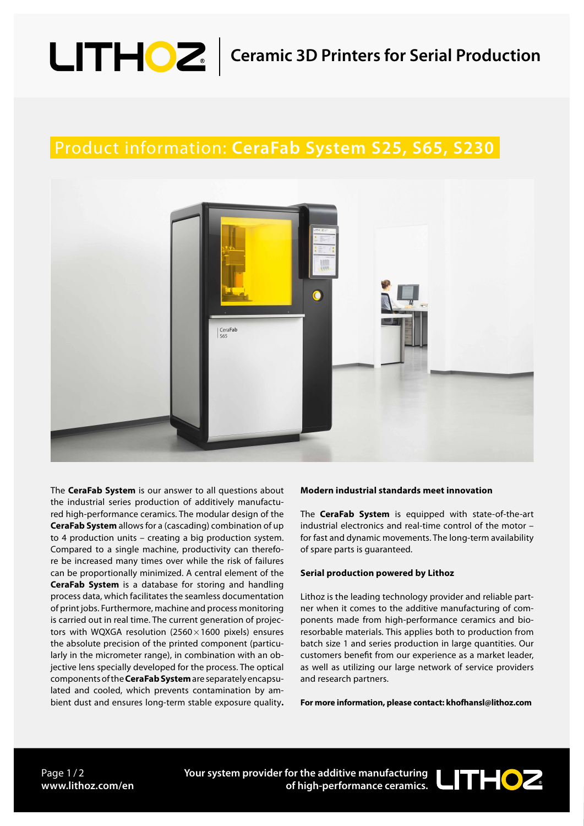# **Ceramic 3D Printers for Serial Production**

## Product information: **CeraFab System S25, S65, S230**



The **CeraFab System** is our answer to all questions about the industrial series production of additively manufactured high-performance ceramics. The modular design of the **CeraFab System** allows for a (cascading) combination of up to 4 production units – creating a big production system. Compared to a single machine, productivity can therefore be increased many times over while the risk of failures can be proportionally minimized. A central element of the **CeraFab System** is a database for storing and handling process data, which facilitates the seamless documentation of print jobs. Furthermore, machine and process monitoring is carried out in real time. The current generation of projectors with WQXGA resolution  $(2560\times1600$  pixels) ensures the absolute precision of the printed component (particularly in the micrometer range), in combination with an objective lens specially developed for the process. The optical components of the **CeraFab System** are separately encapsulated and cooled, which prevents contamination by ambient dust and ensures long-term stable exposure quality**.**

### **Modern industrial standards meet innovation**

The **CeraFab System** is equipped with state-of-the-art industrial electronics and real-time control of the motor – for fast and dynamic movements. The long-term availability of spare parts is guaranteed.

### **Serial production powered by Lithoz**

Lithoz is the leading technology provider and reliable partner when it comes to the additive manufacturing of components made from high-performance ceramics and bioresorbable materials. This applies both to production from batch size 1 and series production in large quantities. Our customers benefit from our experience as a market leader, as well as utilizing our large network of service providers and research partners.

**For more information, please contact: khofhansl@lithoz.com**

**Your system provider for the additive manufacturing of high-performance ceramics.**